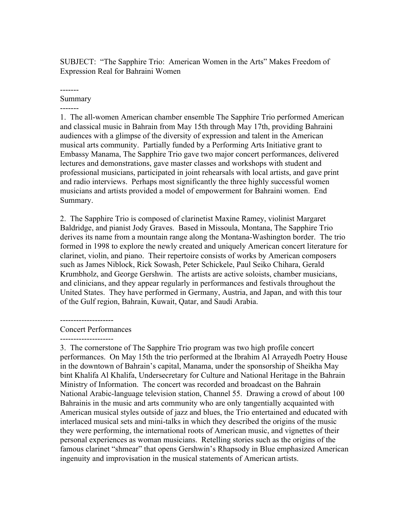SUBJECT: "The Sapphire Trio: American Women in the Arts" Makes Freedom of Expression Real for Bahraini Women

#### ------- Summary

-------

1. The all-women American chamber ensemble The Sapphire Trio performed American and classical music in Bahrain from May 15th through May 17th, providing Bahraini audiences with a glimpse of the diversity of expression and talent in the American musical arts community. Partially funded by a Performing Arts Initiative grant to Embassy Manama, The Sapphire Trio gave two major concert performances, delivered lectures and demonstrations, gave master classes and workshops with student and professional musicians, participated in joint rehearsals with local artists, and gave print and radio interviews. Perhaps most significantly the three highly successful women musicians and artists provided a model of empowerment for Bahraini women. End Summary.

2. The Sapphire Trio is composed of clarinetist Maxine Ramey, violinist Margaret Baldridge, and pianist Jody Graves. Based in Missoula, Montana, The Sapphire Trio derives its name from a mountain range along the Montana-Washington border. The trio formed in 1998 to explore the newly created and uniquely American concert literature for clarinet, violin, and piano. Their repertoire consists of works by American composers such as James Niblock, Rick Sowash, Peter Schickele, Paul Seiko Chihara, Gerald Krumbholz, and George Gershwin. The artists are active soloists, chamber musicians, and clinicians, and they appear regularly in performances and festivals throughout the United States. They have performed in Germany, Austria, and Japan, and with this tour of the Gulf region, Bahrain, Kuwait, Qatar, and Saudi Arabia.

--------------------

#### Concert Performances --------------------

3. The cornerstone of The Sapphire Trio program was two high profile concert performances. On May 15th the trio performed at the Ibrahim Al Arrayedh Poetry House in the downtown of Bahrain's capital, Manama, under the sponsorship of Sheikha May bint Khalifa Al Khalifa, Undersecretary for Culture and National Heritage in the Bahrain Ministry of Information. The concert was recorded and broadcast on the Bahrain National Arabic-language television station, Channel 55. Drawing a crowd of about 100 Bahrainis in the music and arts community who are only tangentially acquainted with American musical styles outside of jazz and blues, the Trio entertained and educated with interlaced musical sets and mini-talks in which they described the origins of the music they were performing, the international roots of American music, and vignettes of their personal experiences as woman musicians. Retelling stories such as the origins of the famous clarinet "shmear" that opens Gershwin's Rhapsody in Blue emphasized American ingenuity and improvisation in the musical statements of American artists.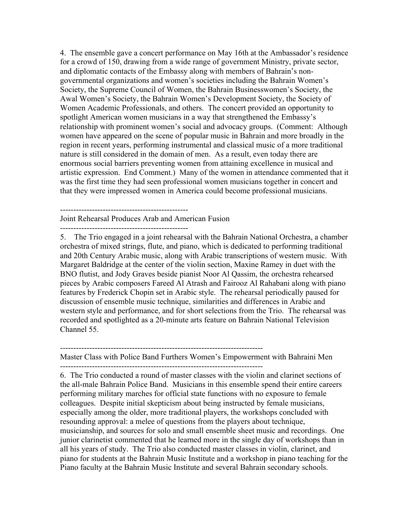4. The ensemble gave a concert performance on May 16th at the Ambassador's residence for a crowd of 150, drawing from a wide range of government Ministry, private sector, and diplomatic contacts of the Embassy along with members of Bahrain's nongovernmental organizations and women's societies including the Bahrain Women's Society, the Supreme Council of Women, the Bahrain Businesswomen's Society, the Awal Women's Society, the Bahrain Women's Development Society, the Society of Women Academic Professionals, and others. The concert provided an opportunity to spotlight American women musicians in a way that strengthened the Embassy's relationship with prominent women's social and advocacy groups. (Comment: Although women have appeared on the scene of popular music in Bahrain and more broadly in the region in recent years, performing instrumental and classical music of a more traditional nature is still considered in the domain of men. As a result, even today there are enormous social barriers preventing women from attaining excellence in musical and artistic expression. End Comment.) Many of the women in attendance commented that it was the first time they had seen professional women musicians together in concert and that they were impressed women in America could become professional musicians.

------------------------------------------------

Joint Rehearsal Produces Arab and American Fusion

------------------------------------------------

5. The Trio engaged in a joint rehearsal with the Bahrain National Orchestra, a chamber orchestra of mixed strings, flute, and piano, which is dedicated to performing traditional and 20th Century Arabic music, along with Arabic transcriptions of western music. With Margaret Baldridge at the center of the violin section, Maxine Ramey in duet with the BNO flutist, and Jody Graves beside pianist Noor Al Qassim, the orchestra rehearsed pieces by Arabic composers Fareed Al Atrash and Fairooz Al Rahabani along with piano features by Frederick Chopin set in Arabic style. The rehearsal periodically paused for discussion of ensemble music technique, similarities and differences in Arabic and western style and performance, and for short selections from the Trio. The rehearsal was recorded and spotlighted as a 20-minute arts feature on Bahrain National Television Channel 55.

----------------------------------------------------------------------------

Master Class with Police Band Furthers Women's Empowerment with Bahraini Men ----------------------------------------------------------------------------

6. The Trio conducted a round of master classes with the violin and clarinet sections of the all-male Bahrain Police Band. Musicians in this ensemble spend their entire careers performing military marches for official state functions with no exposure to female colleagues. Despite initial skepticism about being instructed by female musicians, especially among the older, more traditional players, the workshops concluded with resounding approval: a melee of questions from the players about technique, musicianship, and sources for solo and small ensemble sheet music and recordings. One junior clarinetist commented that he learned more in the single day of workshops than in all his years of study. The Trio also conducted master classes in violin, clarinet, and piano for students at the Bahrain Music Institute and a workshop in piano teaching for the Piano faculty at the Bahrain Music Institute and several Bahrain secondary schools.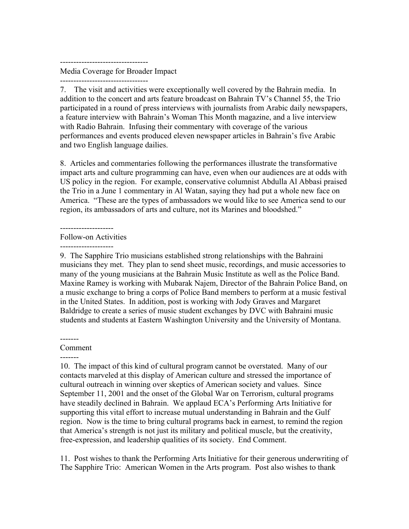---------------------------------

Media Coverage for Broader Impact

---------------------------------

7. The visit and activities were exceptionally well covered by the Bahrain media. In addition to the concert and arts feature broadcast on Bahrain TV's Channel 55, the Trio participated in a round of press interviews with journalists from Arabic daily newspapers, a feature interview with Bahrain's Woman This Month magazine, and a live interview with Radio Bahrain. Infusing their commentary with coverage of the various performances and events produced eleven newspaper articles in Bahrain's five Arabic and two English language dailies.

8. Articles and commentaries following the performances illustrate the transformative impact arts and culture programming can have, even when our audiences are at odds with US policy in the region. For example, conservative columnist Abdulla Al Abbasi praised the Trio in a June 1 commentary in Al Watan, saying they had put a whole new face on America. "These are the types of ambassadors we would like to see America send to our region, its ambassadors of arts and culture, not its Marines and bloodshed."

## --------------------

## Follow-on Activities

--------------------

9. The Sapphire Trio musicians established strong relationships with the Bahraini musicians they met. They plan to send sheet music, recordings, and music accessories to many of the young musicians at the Bahrain Music Institute as well as the Police Band. Maxine Ramey is working with Mubarak Najem, Director of the Bahrain Police Band, on a music exchange to bring a corps of Police Band members to perform at a music festival in the United States. In addition, post is working with Jody Graves and Margaret Baldridge to create a series of music student exchanges by DVC with Bahraini music students and students at Eastern Washington University and the University of Montana.

# -------

-------

# Comment

10. The impact of this kind of cultural program cannot be overstated. Many of our contacts marveled at this display of American culture and stressed the importance of cultural outreach in winning over skeptics of American society and values. Since September 11, 2001 and the onset of the Global War on Terrorism, cultural programs have steadily declined in Bahrain. We applaud ECA's Performing Arts Initiative for supporting this vital effort to increase mutual understanding in Bahrain and the Gulf region. Now is the time to bring cultural programs back in earnest, to remind the region that America's strength is not just its military and political muscle, but the creativity, free-expression, and leadership qualities of its society. End Comment.

11. Post wishes to thank the Performing Arts Initiative for their generous underwriting of The Sapphire Trio: American Women in the Arts program. Post also wishes to thank